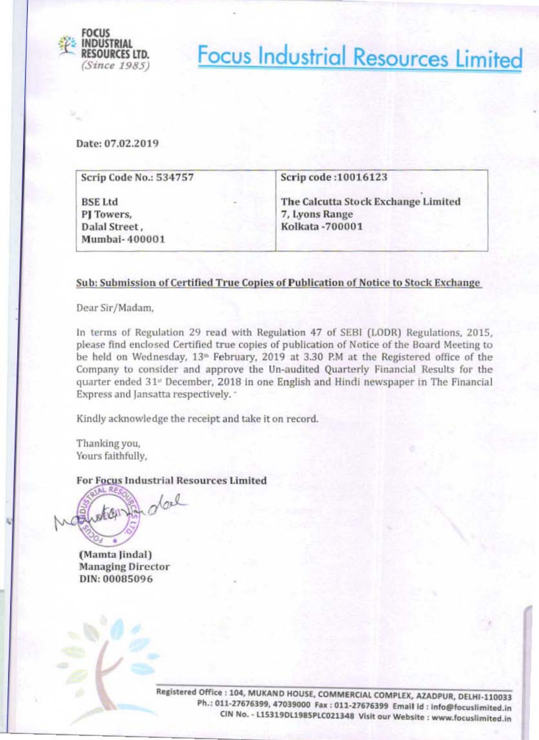

**Focus Industrial Resources Limited** 

Date: 07.02.2019

| Scrip Code No.: 534757                                         | Scrip code: 10016123                                                            |  |  |
|----------------------------------------------------------------|---------------------------------------------------------------------------------|--|--|
| <b>BSE Ltd</b><br>PJ Towers,<br>Dalal Street,<br>Mumbai-400001 | The Calcutta Stock Exchange Limited<br>7, Lyons Range<br><b>Kolkata -700001</b> |  |  |

## Sub: Submission of Certified True Copies of Publication of Notice to Stock Exchange

Dear Sir/Madam,

In terms of Regulation 29 read with Regulation 47 of SEBI (LODR) Regulations, 2015, please find enclosed Certified true copies of publication of Notice of the Board Meeting to be held on Wednesday, 13<sup>th</sup> February, 2019 at 3.30 P.M at the Registered office of the Company to consider and approve the Un-audited Quarterly Financial Results for the quarter ended 31<sup>*v*</sup> December, 2018 in one English and Hindi newspaper in The Financial Express and Jansatta respectively. "

Kindly acknowledge the receipt and take it on record.

Thanking you, Yours faithfully,

**For Focus Industrial Resources Limited** 



(Mamta Jindal) **Managing Director** DIN: 00085096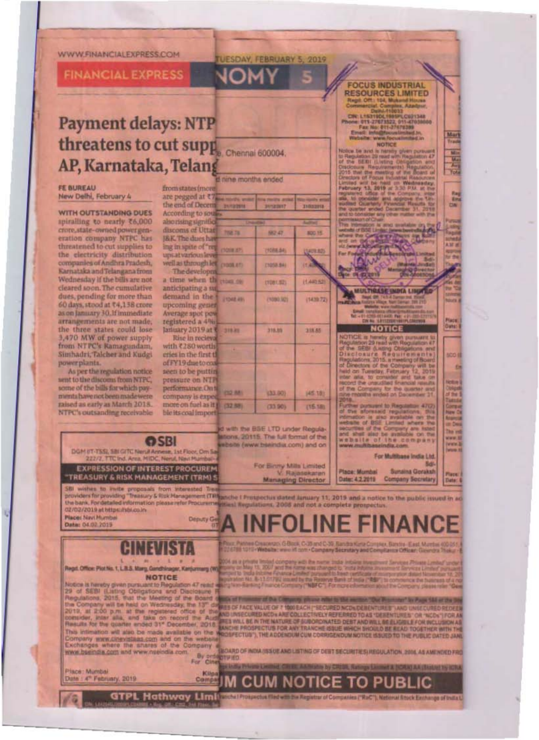## WWW.FINANCIALEXPRESS.COM

**FINANCIAL EXPRESS** 

## **Payment delays: NTP** threatens to cut supp. Chennai 600004. AP, Karnataka, Telang

## **FE BUREAU** New Delhi, February 4

**WITH OUTSTANDING DUES** spiralling to nearly ₹6,000 crore, state-owned power generation company NTPC has threatened to cut supplies to the electricity distribution companies of Andhra Pradesh, Karnataka and Telangana from Wednesday if the bills are not cleared soon. The cumulative dues, pending for more than 60 days, stood at ₹4,138 crore as on January 30.1f immediate arrangements are not made. the three states could lose 3,470 MW of power supply from NTPC's Ramagundam, Simhadri, Talcher and Kudgi power plants.

As per the regulation notice sent to the discoms from NTPC, some of the bills for which paymenta have not been made were raised as early as March 2018. NTPC's outsanding receivable

| 31                                  |                     |                  |                |
|-------------------------------------|---------------------|------------------|----------------|
|                                     | d nine months ended |                  |                |
| from states (more                   |                     |                  |                |
| are pegged at ₹7.                   |                     |                  |                |
| the end of Decent                   | <b>INVESTIGA</b>    | <b>SAILBAY</b>   | <b>IMAINS</b>  |
| According to sours                  |                     |                  |                |
| also rising significal              |                     |                  |                |
| discoms of Uttat                    | 708.78              | 562,47           | <b>BOO 15</b>  |
| <b>BK</b> The dues have             |                     |                  |                |
| ing in spate of "reg                | (YOUR AT)           | (1088.84)        | <b>UNITED</b>  |
| upsat various leve                  |                     |                  |                |
| well as through let<br>The developm | (YOOR RT)           | (1058.94)        | <b>11.4</b>    |
| a time when the                     |                     |                  |                |
| anticipating a su                   | <b>HOAD ON</b>      | <b>L1081,521</b> | 11,440,525     |
| demand in the                       | <b>FOAR ANY</b>     | (1080.92)        | (1439.72)      |
| upcoming gener                      |                     |                  |                |
| Average spot pow                    |                     |                  |                |
| registered a 4%                     |                     |                  |                |
| January 2019 at 1                   | 319.81              | 335.05           | 318.55         |
| Rise in recieva                     |                     |                  |                |
| with <280 worth                     |                     |                  | ٠              |
| eries in the first tl               |                     |                  |                |
| of FY19 due to coa                  |                     |                  |                |
| seen to be puttin                   |                     |                  |                |
| pressure on NTP                     |                     |                  |                |
| performance. On ti                  | <b>CIO RAI</b>      | (33.90)          | <b>J45 181</b> |
| company is expe                     |                     |                  |                |
| more on fuel as it ju               | (32.88)             | (33.90)          | (15.18)        |
| ble its coal import                 |                     |                  |                |

**UFSDAY FEBRUARY 5, 2019** 

**FOCUS INDUSTRIAL RESOURCES LIMITED** Regil: Off.: 104, Mukand House<br>Commercial: Complex, Atadpur

Die Leader-House<br>Chy Leaders (2013)<br>2001 - 1913 - 1920<br>Free: Fax Hu, 611-27678389<br>Free: Inte 611-27678389<br>Website: Website: Website: NOTICE<br>NOTICE

Notice to and a newly given to<br>the Republican Schmol with Negation of the BEBI Listing Obispation<br>Crackcount Republicants (Republicants of the monotony of the BEBI)<br>Linux of roques on constraints Republicants of the head o

**CATARA** 

MULTIRASE INDIA LINUFED

**NOTICE** 

NOTICE THE CONTRACT OF CONTRACT ON A CONTRACT OF CONTRACT OF CONTRACT OF CONTRACT OF CONTRACT OF CONTRACT OF CONTRACT OF CONTRACT OF CONTRACT OF CONTRACT OF CONTRACT OF CONTRACT OF CONTRACT OF CONTRACT OF CONTRACT OF CONTR

**Plurent to Requirement** 

Limited where

company

sforesaid regulat

**The** 

ntimation is also<br>Hebsite of BSE L

of the

Mart<br>Tradi

海湖

AM M

storia)

Place<br>Oats:

scoil

**kdra** 

**Telesis** 

The ex

eve ij

**Winner** 

e

**ANT LK** day

NOM

with the BSE LTD under Regulaations, 20115. The full format of the when (www.bseindia.com) and on

**website** 



BOARD OF INDIA (ISSUE AND LISTING OF DEBT SECURITIES) REQULATION. 2004, AS AMI NOTO FRO By programs

Piace: Mumbai<br>Date: 4<sup>th</sup> February, 2019

www.bseindia.com and www.nseindia.com.

**Place: Navi.Mumbel** 

Date: 04.02.2019

**CENSUSTINGS** 

Kilos **SECTION CUM NOTICE TO PUBL** 

GTPL Hathway Limitwork Prospectus filed with the Register of Companies ("RoC"), Netlocal Stock Eightings of India U